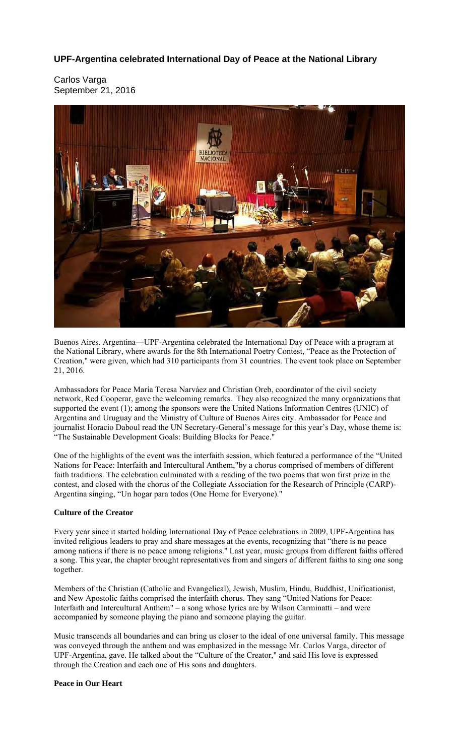# **UPF-Argentina celebrated International Day of Peace at the National Library**

Carlos Varga September 21, 2016



Buenos Aires, Argentina—UPF-Argentina celebrated the International Day of Peace with a program at the National Library, where awards for the 8th International Poetry Contest, "Peace as the Protection of Creation," were given, which had 310 participants from 31 countries. The event took place on September 21, 2016.

Ambassadors for Peace María Teresa Narváez and Christian Oreb, coordinator of the civil society network, Red Cooperar, gave the welcoming remarks. They also recognized the many organizations that supported the event (1); among the sponsors were the United Nations Information Centres (UNIC) of Argentina and Uruguay and the Ministry of Culture of Buenos Aires city. Ambassador for Peace and journalist Horacio Daboul read the UN Secretary-General's message for this year's Day, whose theme is: "The Sustainable Development Goals: Building Blocks for Peace."

One of the highlights of the event was the interfaith session, which featured a performance of the "United Nations for Peace: Interfaith and Intercultural Anthem,"by a chorus comprised of members of different faith traditions. The celebration culminated with a reading of the two poems that won first prize in the contest, and closed with the chorus of the Collegiate Association for the Research of Principle (CARP)- Argentina singing, "Un hogar para todos (One Home for Everyone)."

# **Culture of the Creator**

Every year since it started holding International Day of Peace celebrations in 2009, UPF-Argentina has invited religious leaders to pray and share messages at the events, recognizing that "there is no peace among nations if there is no peace among religions." Last year, music groups from different faiths offered a song. This year, the chapter brought representatives from and singers of different faiths to sing one song together.

Members of the Christian (Catholic and Evangelical), Jewish, Muslim, Hindu, Buddhist, Unificationist, and New Apostolic faiths comprised the interfaith chorus. They sang "United Nations for Peace: Interfaith and Intercultural Anthem" – a song whose lyrics are by Wilson Carminatti – and were accompanied by someone playing the piano and someone playing the guitar.

Music transcends all boundaries and can bring us closer to the ideal of one universal family. This message was conveyed through the anthem and was emphasized in the message Mr. Carlos Varga, director of UPF-Argentina, gave. He talked about the "Culture of the Creator," and said His love is expressed through the Creation and each one of His sons and daughters.

## **Peace in Our Heart**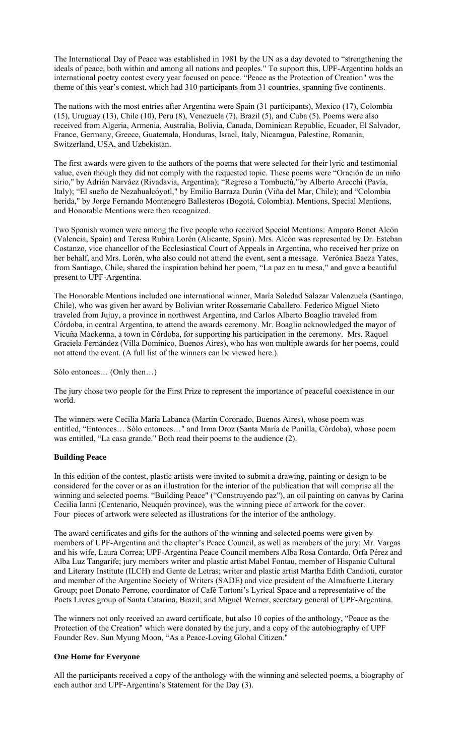The International Day of Peace was established in 1981 by the UN as a day devoted to "strengthening the ideals of peace, both within and among all nations and peoples." To support this, UPF-Argentina holds an international poetry contest every year focused on peace. "Peace as the Protection of Creation" was the theme of this year's contest, which had 310 participants from 31 countries, spanning five continents.

The nations with the most entries after Argentina were Spain (31 participants), Mexico (17), Colombia (15), Uruguay (13), Chile (10), Peru (8), Venezuela (7), Brazil (5), and Cuba (5). Poems were also received from Algeria, Armenia, Australia, Bolivia, Canada, Dominican Republic, Ecuador, El Salvador, France, Germany, Greece, Guatemala, Honduras, Israel, Italy, Nicaragua, Palestine, Romania, Switzerland, USA, and Uzbekistan.

The first awards were given to the authors of the poems that were selected for their lyric and testimonial value, even though they did not comply with the requested topic. These poems were "Oración de un niño sirio," by Adrián Narváez (Rivadavia, Argentina); "Regreso a Tombuctú,"by Alberto Arecchi (Pavía, Italy); "El sueño de Nezahualcóyotl," by Emilio Barraza Durán (Viña del Mar, Chile); and "Colombia herida," by Jorge Fernando Montenegro Ballesteros (Bogotá, Colombia). Mentions, Special Mentions, and Honorable Mentions were then recognized.

Two Spanish women were among the five people who received Special Mentions: Amparo Bonet Alcón (Valencia, Spain) and Teresa Rubira Lorén (Alicante, Spain). Mrs. Alcón was represented by Dr. Esteban Costanzo, vice chancellor of the Ecclesiastical Court of Appeals in Argentina, who received her prize on her behalf, and Mrs. Lorén, who also could not attend the event, sent a message. Verónica Baeza Yates, from Santiago, Chile, shared the inspiration behind her poem, "La paz en tu mesa," and gave a beautiful present to UPF-Argentina.

The Honorable Mentions included one international winner, María Soledad Salazar Valenzuela (Santiago, Chile), who was given her award by Bolivian writer Rossemarie Caballero. Federico Miguel Nieto traveled from Jujuy, a province in northwest Argentina, and Carlos Alberto Boaglio traveled from Córdoba, in central Argentina, to attend the awards ceremony. Mr. Boaglio acknowledged the mayor of Vicuña Mackenna, a town in Córdoba, for supporting his participation in the ceremony. Mrs. Raquel Graciela Fernández (Villa Domínico, Buenos Aires), who has won multiple awards for her poems, could not attend the event. (A full list of the winners can be viewed here.).

Sólo entonces… (Only then…)

The jury chose two people for the First Prize to represent the importance of peaceful coexistence in our world.

The winners were Cecilia María Labanca (Martín Coronado, Buenos Aires), whose poem was entitled, "Entonces… Sólo entonces…" and Irma Droz (Santa María de Punilla, Córdoba), whose poem was entitled, "La casa grande." Both read their poems to the audience (2).

# **Building Peace**

In this edition of the contest, plastic artists were invited to submit a drawing, painting or design to be considered for the cover or as an illustration for the interior of the publication that will comprise all the winning and selected poems. "Building Peace" ("Construyendo paz"), an oil painting on canvas by Carina Cecilia Ianni (Centenario, Neuquén province), was the winning piece of artwork for the cover. Four pieces of artwork were selected as illustrations for the interior of the anthology.

The award certificates and gifts for the authors of the winning and selected poems were given by members of UPF-Argentina and the chapter's Peace Council, as well as members of the jury: Mr. Vargas and his wife, Laura Correa; UPF-Argentina Peace Council members Alba Rosa Contardo, Orfa Pérez and Alba Luz Tangarife; jury members writer and plastic artist Mabel Fontau, member of Hispanic Cultural and Literary Institute (ILCH) and Gente de Letras; writer and plastic artist Martha Edith Candioti, curator and member of the Argentine Society of Writers (SADE) and vice president of the Almafuerte Literary Group; poet Donato Perrone, coordinator of Café Tortoni's Lyrical Space and a representative of the Poets Livres group of Santa Catarina, Brazil; and Miguel Werner, secretary general of UPF-Argentina.

The winners not only received an award certificate, but also 10 copies of the anthology, "Peace as the Protection of the Creation" which were donated by the jury, and a copy of the autobiography of UPF Founder Rev. Sun Myung Moon, "As a Peace-Loving Global Citizen."

#### **One Home for Everyone**

All the participants received a copy of the anthology with the winning and selected poems, a biography of each author and UPF-Argentina's Statement for the Day (3).